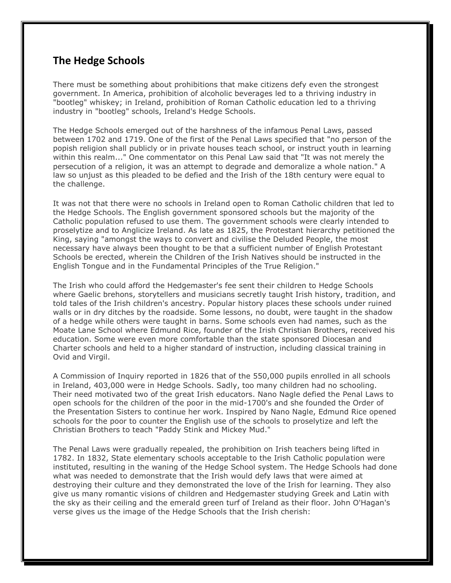## **The Hedge Schools**

There must be something about prohibitions that make citizens defy even the strongest government. In America, prohibition of alcoholic beverages led to a thriving industry in "bootleg" whiskey; in Ireland, prohibition of Roman Catholic education led to a thriving industry in "bootleg" schools, Ireland's Hedge Schools.

The Hedge Schools emerged out of the harshness of the infamous Penal Laws, passed between 1702 and 1719. One of the first of the Penal Laws specified that "no person of the popish religion shall publicly or in private houses teach school, or instruct youth in learning within this realm..." One commentator on this Penal Law said that "It was not merely the persecution of a religion, it was an attempt to degrade and demoralize a whole nation." A law so unjust as this pleaded to be defied and the Irish of the 18th century were equal to the challenge.

It was not that there were no schools in Ireland open to Roman Catholic children that led to the Hedge Schools. The English government sponsored schools but the majority of the Catholic population refused to use them. The government schools were clearly intended to proselytize and to Anglicize Ireland. As late as 1825, the Protestant hierarchy petitioned the King, saying "amongst the ways to convert and civilise the Deluded People, the most necessary have always been thought to be that a sufficient number of English Protestant Schools be erected, wherein the Children of the Irish Natives should be instructed in the English Tongue and in the Fundamental Principles of the True Religion."

The Irish who could afford the Hedgemaster's fee sent their children to Hedge Schools where Gaelic brehons, storytellers and musicians secretly taught Irish history, tradition, and told tales of the Irish children's ancestry. Popular history places these schools under ruined walls or in dry ditches by the roadside. Some lessons, no doubt, were taught in the shadow of a hedge while others were taught in barns. Some schools even had names, such as the Moate Lane School where Edmund Rice, founder of the Irish Christian Brothers, received his education. Some were even more comfortable than the state sponsored Diocesan and Charter schools and held to a higher standard of instruction, including classical training in Ovid and Virgil.

A Commission of Inquiry reported in 1826 that of the 550,000 pupils enrolled in all schools in Ireland, 403,000 were in Hedge Schools. Sadly, too many children had no schooling. Their need motivated two of the great Irish educators. Nano Nagle defied the Penal Laws to open schools for the children of the poor in the mid-1700's and she founded the Order of the Presentation Sisters to continue her work. Inspired by Nano Nagle, Edmund Rice opened schools for the poor to counter the English use of the schools to proselytize and left the Christian Brothers to teach "Paddy Stink and Mickey Mud."

The Penal Laws were gradually repealed, the prohibition on Irish teachers being lifted in 1782. In 1832, State elementary schools acceptable to the Irish Catholic population were instituted, resulting in the waning of the Hedge School system. The Hedge Schools had done what was needed to demonstrate that the Irish would defy laws that were aimed at destroying their culture and they demonstrated the love of the Irish for learning. They also give us many romantic visions of children and Hedgemaster studying Greek and Latin with the sky as their ceiling and the emerald green turf of Ireland as their floor. John O'Hagan's verse gives us the image of the Hedge Schools that the Irish cherish: